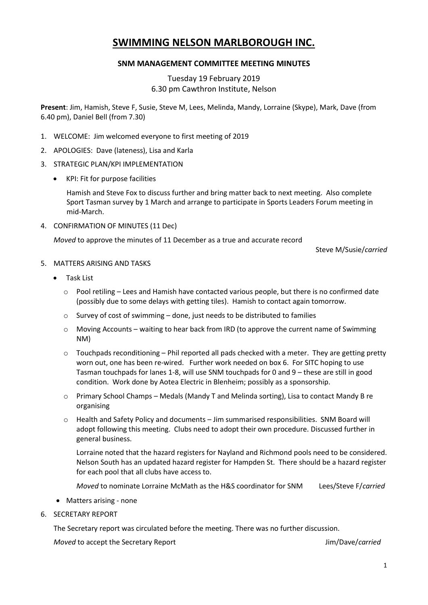# **SWIMMING NELSON MARLBOROUGH INC.**

## **SNM MANAGEMENT COMMITTEE MEETING MINUTES**

# Tuesday 19 February 2019 6.30 pm Cawthron Institute, Nelson

**Present**: Jim, Hamish, Steve F, Susie, Steve M, Lees, Melinda, Mandy, Lorraine (Skype), Mark, Dave (from 6.40 pm), Daniel Bell (from 7.30)

- 1. WELCOME: Jim welcomed everyone to first meeting of 2019
- 2. APOLOGIES: Dave (lateness), Lisa and Karla
- 3. STRATEGIC PLAN/KPI IMPLEMENTATION
	- KPI: Fit for purpose facilities

Hamish and Steve Fox to discuss further and bring matter back to next meeting. Also complete Sport Tasman survey by 1 March and arrange to participate in Sports Leaders Forum meeting in mid-March.

4. CONFIRMATION OF MINUTES (11 Dec)

*Moved* to approve the minutes of 11 December as a true and accurate record

Steve M/Susie/*carried*

## 5. MATTERS ARISING AND TASKS

- Task List
	- $\circ$  Pool retiling Lees and Hamish have contacted various people, but there is no confirmed date (possibly due to some delays with getting tiles). Hamish to contact again tomorrow.
	- o Survey of cost of swimming done, just needs to be distributed to families
	- o Moving Accounts waiting to hear back from IRD (to approve the current name of Swimming NM)
	- $\circ$  Touchpads reconditioning Phil reported all pads checked with a meter. They are getting pretty worn out, one has been re-wired. Further work needed on box 6. For SITC hoping to use Tasman touchpads for lanes 1-8, will use SNM touchpads for 0 and 9 – these are still in good condition. Work done by Aotea Electric in Blenheim; possibly as a sponsorship.
	- o Primary School Champs Medals (Mandy T and Melinda sorting), Lisa to contact Mandy B re organising
	- o Health and Safety Policy and documents Jim summarised responsibilities. SNM Board will adopt following this meeting. Clubs need to adopt their own procedure. Discussed further in general business.

Lorraine noted that the hazard registers for Nayland and Richmond pools need to be considered. Nelson South has an updated hazard register for Hampden St. There should be a hazard register for each pool that all clubs have access to.

*Moved* to nominate Lorraine McMath as the H&S coordinator for SNM Lees/Steve F/*carried*

- Matters arising none
- 6. SECRETARY REPORT

The Secretary report was circulated before the meeting. There was no further discussion.

*Moved* to accept the Secretary Report Jim/Dave/*carried*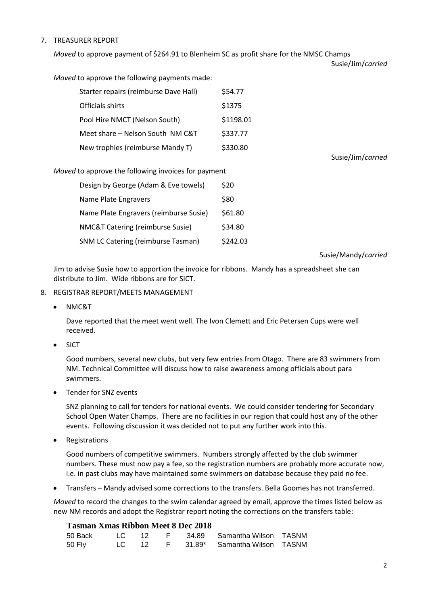## 7. TREASURER REPORT

*Moved* to approve payment of \$264.91 to Blenheim SC as profit share for the NMSC Champs

Susie/Jim/*carried*

*Moved* to approve the following payments made:

| Starter repairs (reimburse Dave Hall) | \$54.77   |
|---------------------------------------|-----------|
| Officials shirts                      | \$1375    |
| Pool Hire NMCT (Nelson South)         | \$1198.01 |
| Meet share - Nelson South NM C&T      | \$337.77  |
| New trophies (reimburse Mandy T)      | \$330.80  |

Susie/Jim/*carried*

#### *Moved* to approve the following invoices for payment

| Design by George (Adam & Eve towels)      | \$20     |
|-------------------------------------------|----------|
| Name Plate Engravers                      | \$80     |
| Name Plate Engravers (reimburse Susie)    | \$61.80  |
| NMC&T Catering (reimburse Susie)          | \$34.80  |
| <b>SNM LC Catering (reimburse Tasman)</b> | \$242.03 |

Susie/Mandy/*carried*

Jim to advise Susie how to apportion the invoice for ribbons. Mandy has a spreadsheet she can distribute to Jim. Wide ribbons are for SICT.

#### 8. REGISTRAR REPORT/MEETS MANAGEMENT

• NMC&T

Dave reported that the meet went well. The Ivon Clemett and Eric Petersen Cups were well received.

SICT

Good numbers, several new clubs, but very few entries from Otago. There are 83 swimmers from NM. Technical Committee will discuss how to raise awareness among officials about para swimmers.

• Tender for SNZ events

SNZ planning to call for tenders for national events. We could consider tendering for Secondary School Open Water Champs. There are no facilities in our region that could host any of the other events. Following discussion it was decided not to put any further work into this.

Registrations

Good numbers of competitive swimmers. Numbers strongly affected by the club swimmer numbers. These must now pay a fee, so the registration numbers are probably more accurate now, i.e. in past clubs may have maintained some swimmers on database because they paid no fee.

Transfers – Mandy advised some corrections to the transfers. Bella Goomes has not transferred.

*Moved* to record the changes to the swim calendar agreed by email, approve the times listed below as new NM records and adopt the Registrar report noting the corrections on the transfers table:

## **Tasman Xmas Ribbon Meet 8 Dec 2018**

| 50 Back l |  |  | LC 12 F 34.89 Samantha Wilson TASNM  |  |
|-----------|--|--|--------------------------------------|--|
| 50 Fly    |  |  | LC 12 F 31.89* Samantha Wilson TASNM |  |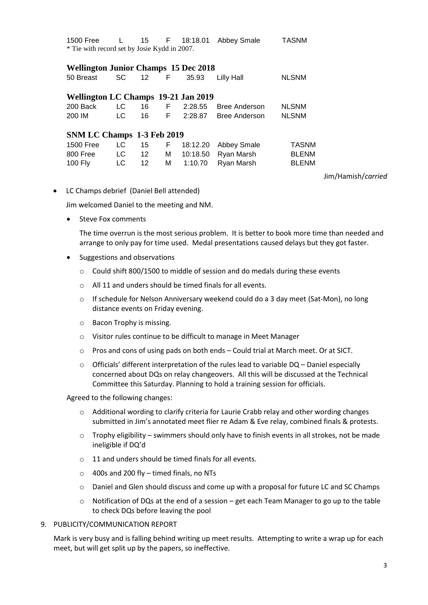| 1500 Free                                    | L         | 15              | F. | 18:18.01 | Abbey Smale          | <b>TASNM</b> |  |  |
|----------------------------------------------|-----------|-----------------|----|----------|----------------------|--------------|--|--|
| * Tie with record set by Josie Kydd in 2007. |           |                 |    |          |                      |              |  |  |
|                                              |           |                 |    |          |                      |              |  |  |
| <b>Wellington Junior Champs 15 Dec 2018</b>  |           |                 |    |          |                      |              |  |  |
| 50 Breast                                    | <b>SC</b> | 12 <sup>2</sup> | F  | 35.93    | Lilly Hall           | <b>NLSNM</b> |  |  |
|                                              |           |                 |    |          |                      |              |  |  |
| Wellington LC Champs 19-21 Jan 2019          |           |                 |    |          |                      |              |  |  |
| 200 Back                                     | LC.       | 16              | F. | 2:28.55  | <b>Bree Anderson</b> | <b>NLSNM</b> |  |  |
| 200 IM                                       | LC.       | 16              | F. | 2:28.87  | <b>Bree Anderson</b> | <b>NLSNM</b> |  |  |
|                                              |           |                 |    |          |                      |              |  |  |
| SNM LC Champs 1-3 Feb 2019                   |           |                 |    |          |                      |              |  |  |
| 1500 Free                                    | LC        | 15              | F  | 18:12.20 | Abbey Smale          | TASNM        |  |  |
| 800 Free                                     | LC.       | 12 <sup>°</sup> | м  | 10:18.50 | Ryan Marsh           | <b>BLENM</b> |  |  |
| 100 Fly                                      | LC        | 12              | м  | 1:10.70  | Ryan Marsh           | <b>BLENM</b> |  |  |
|                                              |           |                 |    |          |                      |              |  |  |

Jim/Hamish/*carried*

LC Champs debrief (Daniel Bell attended)

Jim welcomed Daniel to the meeting and NM.

Steve Fox comments

The time overrun is the most serious problem. It is better to book more time than needed and arrange to only pay for time used. Medal presentations caused delays but they got faster.

- Suggestions and observations
	- o Could shift 800/1500 to middle of session and do medals during these events
	- o All 11 and unders should be timed finals for all events.
	- o If schedule for Nelson Anniversary weekend could do a 3 day meet (Sat-Mon), no long distance events on Friday evening.
	- o Bacon Trophy is missing.
	- o Visitor rules continue to be difficult to manage in Meet Manager
	- $\circ$  Pros and cons of using pads on both ends Could trial at March meet. Or at SICT.
	- $\circ$  Officials' different interpretation of the rules lead to variable DQ Daniel especially concerned about DQs on relay changeovers. All this will be discussed at the Technical Committee this Saturday. Planning to hold a training session for officials.

Agreed to the following changes:

- o Additional wording to clarify criteria for Laurie Crabb relay and other wording changes submitted in Jim's annotated meet flier re Adam & Eve relay, combined finals & protests.
- $\circ$  Trophy eligibility swimmers should only have to finish events in all strokes, not be made ineligible if DQ'd
- o 11 and unders should be timed finals for all events.
- $\circ$  400s and 200 fly timed finals, no NTs
- o Daniel and Glen should discuss and come up with a proposal for future LC and SC Champs
- o Notification of DQs at the end of a session get each Team Manager to go up to the table to check DQs before leaving the pool

#### 9. PUBLICITY/COMMUNICATION REPORT

Mark is very busy and is falling behind writing up meet results. Attempting to write a wrap up for each meet, but will get split up by the papers, so ineffective.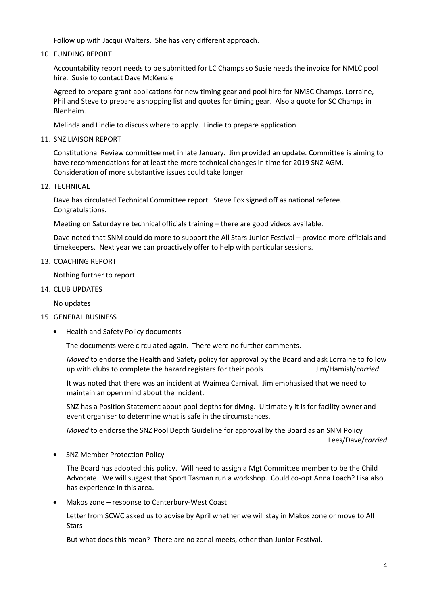Follow up with Jacqui Walters. She has very different approach.

10. FUNDING REPORT

Accountability report needs to be submitted for LC Champs so Susie needs the invoice for NMLC pool hire. Susie to contact Dave McKenzie

Agreed to prepare grant applications for new timing gear and pool hire for NMSC Champs. Lorraine, Phil and Steve to prepare a shopping list and quotes for timing gear. Also a quote for SC Champs in Blenheim.

Melinda and Lindie to discuss where to apply. Lindie to prepare application

11. SNZ LIAISON REPORT

Constitutional Review committee met in late January. Jim provided an update. Committee is aiming to have recommendations for at least the more technical changes in time for 2019 SNZ AGM. Consideration of more substantive issues could take longer.

12. TECHNICAL

Dave has circulated Technical Committee report. Steve Fox signed off as national referee. Congratulations.

Meeting on Saturday re technical officials training – there are good videos available.

Dave noted that SNM could do more to support the All Stars Junior Festival – provide more officials and timekeepers. Next year we can proactively offer to help with particular sessions.

13. COACHING REPORT

Nothing further to report.

14. CLUB UPDATES

No updates

#### 15. GENERAL BUSINESS

• Health and Safety Policy documents

The documents were circulated again. There were no further comments.

*Moved* to endorse the Health and Safety policy for approval by the Board and ask Lorraine to follow up with clubs to complete the hazard registers for their pools Jim/Hamish/*carried*

It was noted that there was an incident at Waimea Carnival. Jim emphasised that we need to maintain an open mind about the incident.

SNZ has a Position Statement about pool depths for diving. Ultimately it is for facility owner and event organiser to determine what is safe in the circumstances.

*Moved* to endorse the SNZ Pool Depth Guideline for approval by the Board as an SNM Policy Lees/Dave/*carried*

• SNZ Member Protection Policy

The Board has adopted this policy. Will need to assign a Mgt Committee member to be the Child Advocate. We will suggest that Sport Tasman run a workshop. Could co-opt Anna Loach? Lisa also has experience in this area.

Makos zone – response to Canterbury-West Coast

Letter from SCWC asked us to advise by April whether we will stay in Makos zone or move to All **Stars** 

But what does this mean? There are no zonal meets, other than Junior Festival.